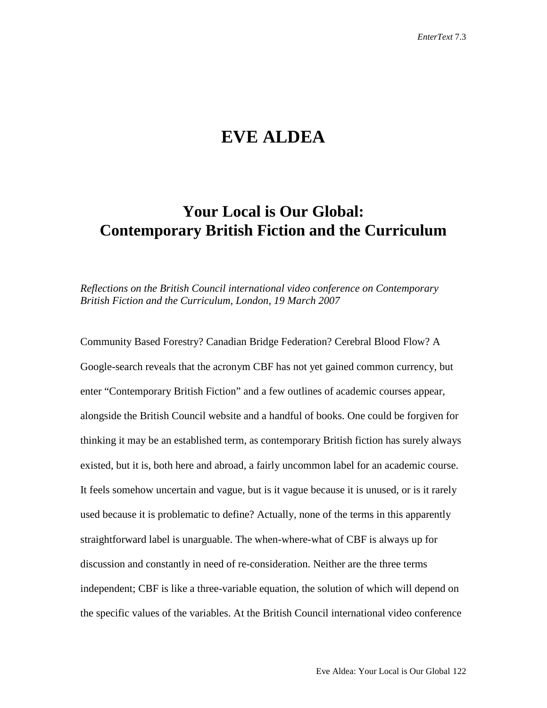## **EVE ALDEA**

## **Your Local is Our Global: Contemporary British Fiction and the Curriculum**

*Reflections on the British Council international video conference on Contemporary British Fiction and the Curriculum, London, 19 March 2007*

Community Based Forestry? Canadian Bridge Federation? Cerebral Blood Flow? A Google-search reveals that the acronym CBF has not yet gained common currency, but enter "Contemporary British Fiction" and a few outlines of academic courses appear, alongside the British Council website and a handful of books. One could be forgiven for thinking it may be an established term, as contemporary British fiction has surely always existed, but it is, both here and abroad, a fairly uncommon label for an academic course. It feels somehow uncertain and vague, but is it vague because it is unused, or is it rarely used because it is problematic to define? Actually, none of the terms in this apparently straightforward label is unarguable. The when-where-what of CBF is always up for discussion and constantly in need of re-consideration. Neither are the three terms independent; CBF is like a three-variable equation, the solution of which will depend on the specific values of the variables. At the British Council international video conference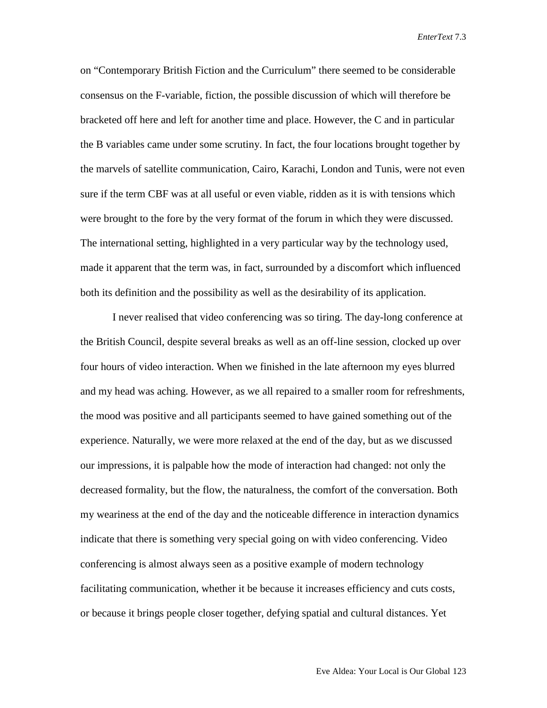on "Contemporary British Fiction and the Curriculum" there seemed to be considerable consensus on the F-variable, fiction, the possible discussion of which will therefore be bracketed off here and left for another time and place. However, the C and in particular the B variables came under some scrutiny. In fact, the four locations brought together by the marvels of satellite communication, Cairo, Karachi, London and Tunis, were not even sure if the term CBF was at all useful or even viable, ridden as it is with tensions which were brought to the fore by the very format of the forum in which they were discussed. The international setting, highlighted in a very particular way by the technology used, made it apparent that the term was, in fact, surrounded by a discomfort which influenced both its definition and the possibility as well as the desirability of its application.

I never realised that video conferencing was so tiring. The day-long conference at the British Council, despite several breaks as well as an off-line session, clocked up over four hours of video interaction. When we finished in the late afternoon my eyes blurred and my head was aching. However, as we all repaired to a smaller room for refreshments, the mood was positive and all participants seemed to have gained something out of the experience. Naturally, we were more relaxed at the end of the day, but as we discussed our impressions, it is palpable how the mode of interaction had changed: not only the decreased formality, but the flow, the naturalness, the comfort of the conversation. Both my weariness at the end of the day and the noticeable difference in interaction dynamics indicate that there is something very special going on with video conferencing. Video conferencing is almost always seen as a positive example of modern technology facilitating communication, whether it be because it increases efficiency and cuts costs, or because it brings people closer together, defying spatial and cultural distances. Yet

Eve Aldea: Your Local is Our Global 123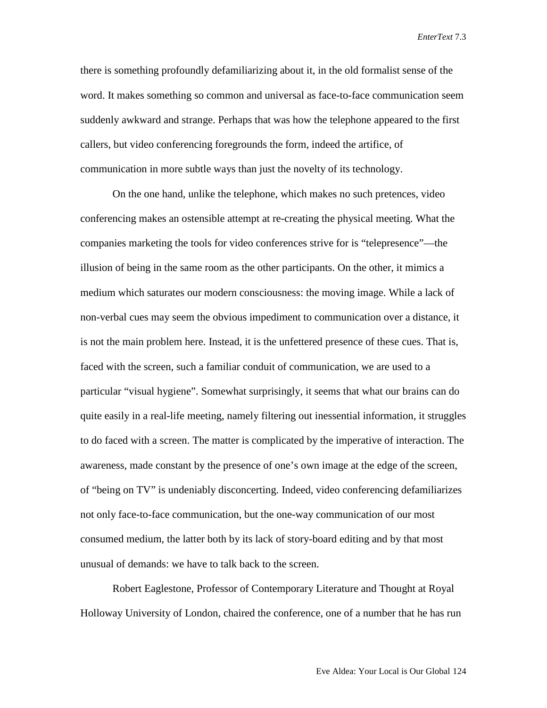there is something profoundly defamiliarizing about it, in the old formalist sense of the word. It makes something so common and universal as face-to-face communication seem suddenly awkward and strange. Perhaps that was how the telephone appeared to the first callers, but video conferencing foregrounds the form, indeed the artifice, of communication in more subtle ways than just the novelty of its technology.

On the one hand, unlike the telephone, which makes no such pretences, video conferencing makes an ostensible attempt at re-creating the physical meeting. What the companies marketing the tools for video conferences strive for is "telepresence"—the illusion of being in the same room as the other participants. On the other, it mimics a medium which saturates our modern consciousness: the moving image. While a lack of non-verbal cues may seem the obvious impediment to communication over a distance, it is not the main problem here. Instead, it is the unfettered presence of these cues. That is, faced with the screen, such a familiar conduit of communication, we are used to a particular "visual hygiene". Somewhat surprisingly, it seems that what our brains can do quite easily in a real-life meeting, namely filtering out inessential information, it struggles to do faced with a screen. The matter is complicated by the imperative of interaction. The awareness, made constant by the presence of one's own image at the edge of the screen, of "being on TV" is undeniably disconcerting. Indeed, video conferencing defamiliarizes not only face-to-face communication, but the one-way communication of our most consumed medium, the latter both by its lack of story-board editing and by that most unusual of demands: we have to talk back to the screen.

Robert Eaglestone, Professor of Contemporary Literature and Thought at Royal Holloway University of London, chaired the conference, one of a number that he has run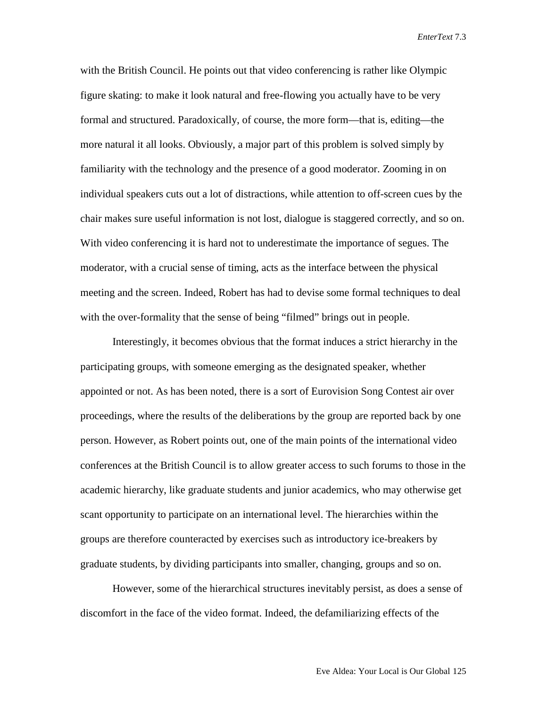with the British Council. He points out that video conferencing is rather like Olympic figure skating: to make it look natural and free-flowing you actually have to be very formal and structured. Paradoxically, of course, the more form—that is, editing—the more natural it all looks. Obviously, a major part of this problem is solved simply by familiarity with the technology and the presence of a good moderator. Zooming in on individual speakers cuts out a lot of distractions, while attention to off-screen cues by the chair makes sure useful information is not lost, dialogue is staggered correctly, and so on. With video conferencing it is hard not to underestimate the importance of segues. The moderator, with a crucial sense of timing, acts as the interface between the physical meeting and the screen. Indeed, Robert has had to devise some formal techniques to deal with the over-formality that the sense of being "filmed" brings out in people.

Interestingly, it becomes obvious that the format induces a strict hierarchy in the participating groups, with someone emerging as the designated speaker, whether appointed or not. As has been noted, there is a sort of Eurovision Song Contest air over proceedings, where the results of the deliberations by the group are reported back by one person. However, as Robert points out, one of the main points of the international video conferences at the British Council is to allow greater access to such forums to those in the academic hierarchy, like graduate students and junior academics, who may otherwise get scant opportunity to participate on an international level. The hierarchies within the groups are therefore counteracted by exercises such as introductory ice-breakers by graduate students, by dividing participants into smaller, changing, groups and so on.

However, some of the hierarchical structures inevitably persist, as does a sense of discomfort in the face of the video format. Indeed, the defamiliarizing effects of the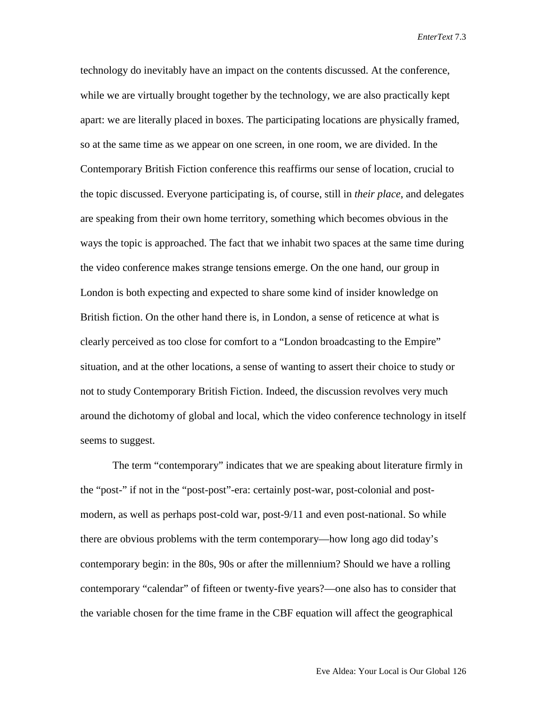technology do inevitably have an impact on the contents discussed. At the conference, while we are virtually brought together by the technology, we are also practically kept apart: we are literally placed in boxes. The participating locations are physically framed, so at the same time as we appear on one screen, in one room, we are divided. In the Contemporary British Fiction conference this reaffirms our sense of location, crucial to the topic discussed. Everyone participating is, of course, still in *their place*, and delegates are speaking from their own home territory, something which becomes obvious in the ways the topic is approached. The fact that we inhabit two spaces at the same time during the video conference makes strange tensions emerge. On the one hand, our group in London is both expecting and expected to share some kind of insider knowledge on British fiction. On the other hand there is, in London, a sense of reticence at what is clearly perceived as too close for comfort to a "London broadcasting to the Empire" situation, and at the other locations, a sense of wanting to assert their choice to study or not to study Contemporary British Fiction. Indeed, the discussion revolves very much around the dichotomy of global and local, which the video conference technology in itself seems to suggest.

The term "contemporary" indicates that we are speaking about literature firmly in the "post-" if not in the "post-post"-era: certainly post-war, post-colonial and postmodern, as well as perhaps post-cold war, post-9/11 and even post-national. So while there are obvious problems with the term contemporary—how long ago did today's contemporary begin: in the 80s, 90s or after the millennium? Should we have a rolling contemporary "calendar" of fifteen or twenty-five years?—one also has to consider that the variable chosen for the time frame in the CBF equation will affect the geographical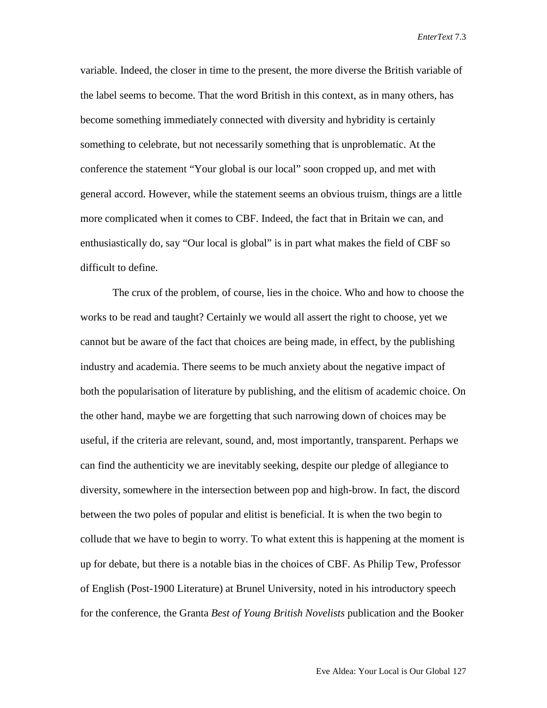variable. Indeed, the closer in time to the present, the more diverse the British variable of the label seems to become. That the word British in this context, as in many others, has become something immediately connected with diversity and hybridity is certainly something to celebrate, but not necessarily something that is unproblematic. At the conference the statement "Your global is our local" soon cropped up, and met with general accord. However, while the statement seems an obvious truism, things are a little more complicated when it comes to CBF. Indeed, the fact that in Britain we can, and enthusiastically do, say "Our local is global" is in part what makes the field of CBF so difficult to define.

The crux of the problem, of course, lies in the choice. Who and how to choose the works to be read and taught? Certainly we would all assert the right to choose, yet we cannot but be aware of the fact that choices are being made, in effect, by the publishing industry and academia. There seems to be much anxiety about the negative impact of both the popularisation of literature by publishing, and the elitism of academic choice. On the other hand, maybe we are forgetting that such narrowing down of choices may be useful, if the criteria are relevant, sound, and, most importantly, transparent. Perhaps we can find the authenticity we are inevitably seeking, despite our pledge of allegiance to diversity, somewhere in the intersection between pop and high-brow. In fact, the discord between the two poles of popular and elitist is beneficial. It is when the two begin to collude that we have to begin to worry. To what extent this is happening at the moment is up for debate, but there is a notable bias in the choices of CBF. As Philip Tew, Professor of English (Post-1900 Literature) at Brunel University, noted in his introductory speech for the conference, the Granta *Best of Young British Novelists* publication and the Booker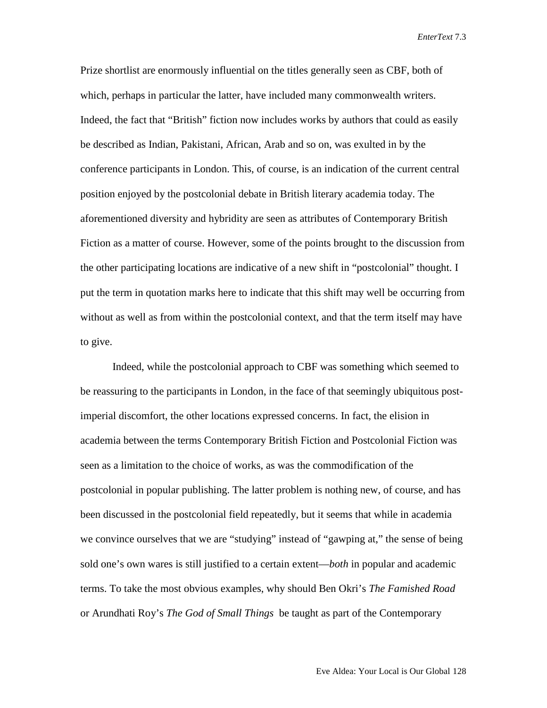Prize shortlist are enormously influential on the titles generally seen as CBF, both of which, perhaps in particular the latter, have included many commonwealth writers. Indeed, the fact that "British" fiction now includes works by authors that could as easily be described as Indian, Pakistani, African, Arab and so on, was exulted in by the conference participants in London. This, of course, is an indication of the current central position enjoyed by the postcolonial debate in British literary academia today. The aforementioned diversity and hybridity are seen as attributes of Contemporary British Fiction as a matter of course. However, some of the points brought to the discussion from the other participating locations are indicative of a new shift in "postcolonial" thought. I put the term in quotation marks here to indicate that this shift may well be occurring from without as well as from within the postcolonial context, and that the term itself may have to give.

Indeed, while the postcolonial approach to CBF was something which seemed to be reassuring to the participants in London, in the face of that seemingly ubiquitous postimperial discomfort, the other locations expressed concerns. In fact, the elision in academia between the terms Contemporary British Fiction and Postcolonial Fiction was seen as a limitation to the choice of works, as was the commodification of the postcolonial in popular publishing. The latter problem is nothing new, of course, and has been discussed in the postcolonial field repeatedly, but it seems that while in academia we convince ourselves that we are "studying" instead of "gawping at," the sense of being sold one's own wares is still justified to a certain extent—*both* in popular and academic terms. To take the most obvious examples, why should Ben Okri's *The Famished Road*  or Arundhati Roy's *The God of Small Things* be taught as part of the Contemporary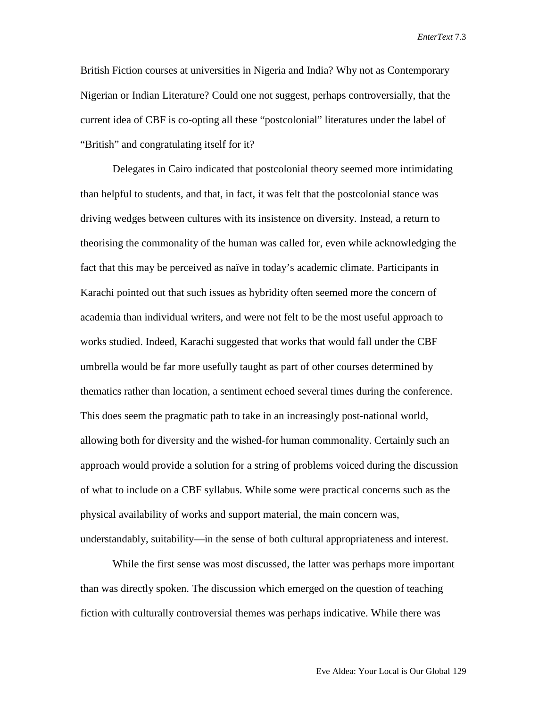British Fiction courses at universities in Nigeria and India? Why not as Contemporary Nigerian or Indian Literature? Could one not suggest, perhaps controversially, that the current idea of CBF is co-opting all these "postcolonial" literatures under the label of "British" and congratulating itself for it?

Delegates in Cairo indicated that postcolonial theory seemed more intimidating than helpful to students, and that, in fact, it was felt that the postcolonial stance was driving wedges between cultures with its insistence on diversity. Instead, a return to theorising the commonality of the human was called for, even while acknowledging the fact that this may be perceived as naïve in today's academic climate. Participants in Karachi pointed out that such issues as hybridity often seemed more the concern of academia than individual writers, and were not felt to be the most useful approach to works studied. Indeed, Karachi suggested that works that would fall under the CBF umbrella would be far more usefully taught as part of other courses determined by thematics rather than location, a sentiment echoed several times during the conference. This does seem the pragmatic path to take in an increasingly post-national world, allowing both for diversity and the wished-for human commonality. Certainly such an approach would provide a solution for a string of problems voiced during the discussion of what to include on a CBF syllabus. While some were practical concerns such as the physical availability of works and support material, the main concern was, understandably, suitability—in the sense of both cultural appropriateness and interest.

While the first sense was most discussed, the latter was perhaps more important than was directly spoken. The discussion which emerged on the question of teaching fiction with culturally controversial themes was perhaps indicative. While there was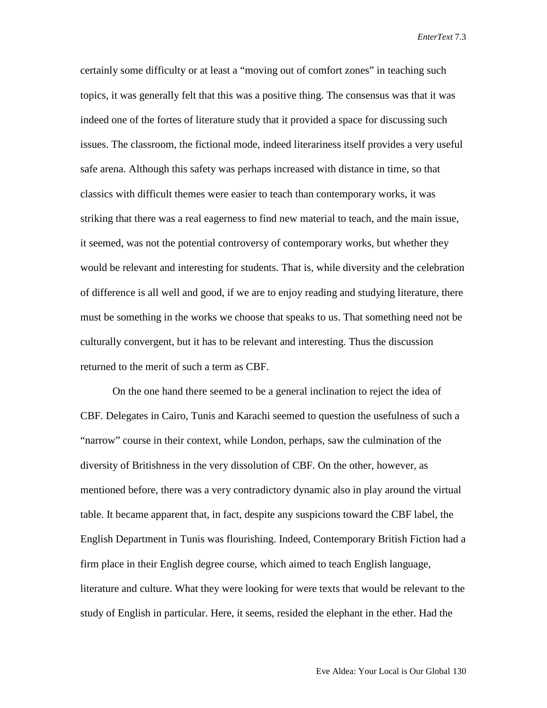certainly some difficulty or at least a "moving out of comfort zones" in teaching such topics, it was generally felt that this was a positive thing. The consensus was that it was indeed one of the fortes of literature study that it provided a space for discussing such issues. The classroom, the fictional mode, indeed literariness itself provides a very useful safe arena. Although this safety was perhaps increased with distance in time, so that classics with difficult themes were easier to teach than contemporary works, it was striking that there was a real eagerness to find new material to teach, and the main issue, it seemed, was not the potential controversy of contemporary works, but whether they would be relevant and interesting for students. That is, while diversity and the celebration of difference is all well and good, if we are to enjoy reading and studying literature, there must be something in the works we choose that speaks to us. That something need not be culturally convergent, but it has to be relevant and interesting. Thus the discussion returned to the merit of such a term as CBF.

On the one hand there seemed to be a general inclination to reject the idea of CBF. Delegates in Cairo, Tunis and Karachi seemed to question the usefulness of such a "narrow" course in their context, while London, perhaps, saw the culmination of the diversity of Britishness in the very dissolution of CBF. On the other, however, as mentioned before, there was a very contradictory dynamic also in play around the virtual table. It became apparent that, in fact, despite any suspicions toward the CBF label, the English Department in Tunis was flourishing. Indeed, Contemporary British Fiction had a firm place in their English degree course, which aimed to teach English language, literature and culture. What they were looking for were texts that would be relevant to the study of English in particular. Here, it seems, resided the elephant in the ether. Had the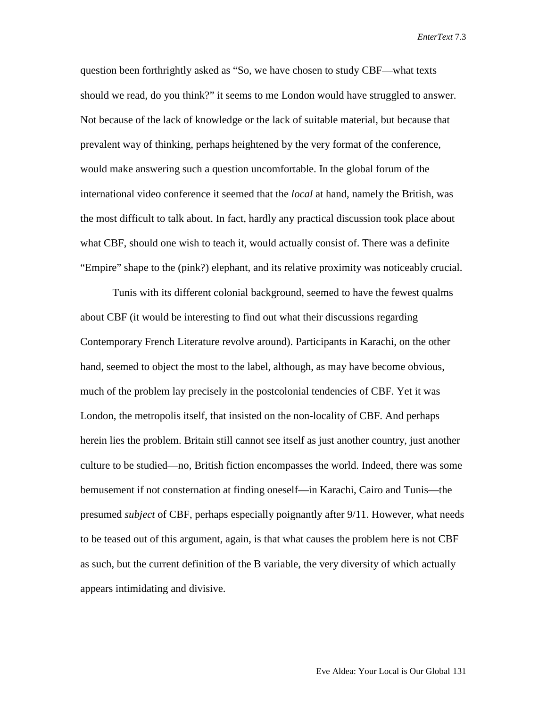question been forthrightly asked as "So, we have chosen to study CBF—what texts should we read, do you think?" it seems to me London would have struggled to answer. Not because of the lack of knowledge or the lack of suitable material, but because that prevalent way of thinking, perhaps heightened by the very format of the conference, would make answering such a question uncomfortable. In the global forum of the international video conference it seemed that the *local* at hand, namely the British, was the most difficult to talk about. In fact, hardly any practical discussion took place about what CBF, should one wish to teach it, would actually consist of. There was a definite "Empire" shape to the (pink?) elephant, and its relative proximity was noticeably crucial.

Tunis with its different colonial background, seemed to have the fewest qualms about CBF (it would be interesting to find out what their discussions regarding Contemporary French Literature revolve around). Participants in Karachi, on the other hand, seemed to object the most to the label, although, as may have become obvious, much of the problem lay precisely in the postcolonial tendencies of CBF. Yet it was London, the metropolis itself, that insisted on the non-locality of CBF. And perhaps herein lies the problem. Britain still cannot see itself as just another country, just another culture to be studied—no, British fiction encompasses the world. Indeed, there was some bemusement if not consternation at finding oneself—in Karachi, Cairo and Tunis—the presumed *subject* of CBF, perhaps especially poignantly after 9/11. However, what needs to be teased out of this argument, again, is that what causes the problem here is not CBF as such, but the current definition of the B variable, the very diversity of which actually appears intimidating and divisive.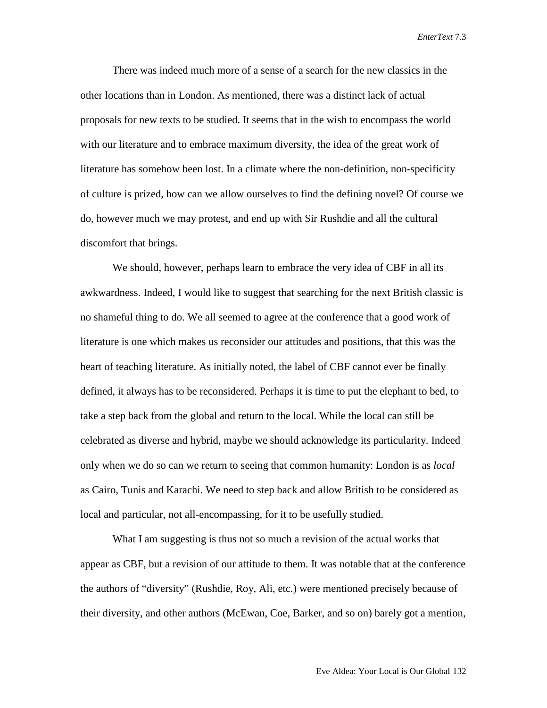There was indeed much more of a sense of a search for the new classics in the other locations than in London. As mentioned, there was a distinct lack of actual proposals for new texts to be studied. It seems that in the wish to encompass the world with our literature and to embrace maximum diversity, the idea of the great work of literature has somehow been lost. In a climate where the non-definition, non-specificity of culture is prized, how can we allow ourselves to find the defining novel? Of course we do, however much we may protest, and end up with Sir Rushdie and all the cultural discomfort that brings.

We should, however, perhaps learn to embrace the very idea of CBF in all its awkwardness. Indeed, I would like to suggest that searching for the next British classic is no shameful thing to do. We all seemed to agree at the conference that a good work of literature is one which makes us reconsider our attitudes and positions, that this was the heart of teaching literature. As initially noted, the label of CBF cannot ever be finally defined, it always has to be reconsidered. Perhaps it is time to put the elephant to bed, to take a step back from the global and return to the local. While the local can still be celebrated as diverse and hybrid, maybe we should acknowledge its particularity. Indeed only when we do so can we return to seeing that common humanity: London is as *local* as Cairo, Tunis and Karachi. We need to step back and allow British to be considered as local and particular, not all-encompassing, for it to be usefully studied.

What I am suggesting is thus not so much a revision of the actual works that appear as CBF, but a revision of our attitude to them. It was notable that at the conference the authors of "diversity" (Rushdie, Roy, Ali, etc.) were mentioned precisely because of their diversity, and other authors (McEwan, Coe, Barker, and so on) barely got a mention,